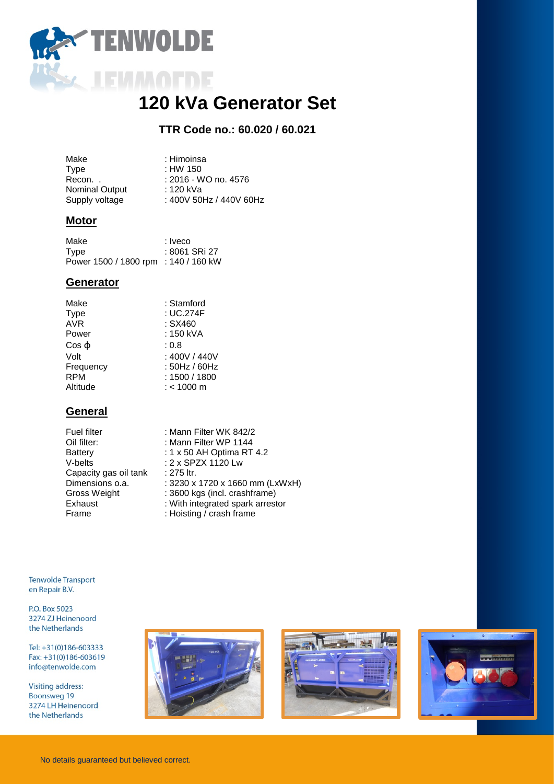

# **120 kVa Generator Set**

# **TTR Code no.: 60.020 / 60.021**

| : 2016 - WO no. 4576    |
|-------------------------|
|                         |
| : 400V 50Hz / 440V 60Hz |
|                         |

## **Motor**

| Make                                 | : Iveco       |
|--------------------------------------|---------------|
| Type                                 | : 8061 SRi 27 |
| Power 1500 / 1800 rpm : 140 / 160 kW |               |

#### **Generator**

| Make      | : Stamford    |
|-----------|---------------|
| Type      | : UC.274F     |
| AVR       | : SX460       |
| Power     | : 150 kVA     |
| Cos ф     | : 0.8         |
| Volt      | : 400V / 440V |
| Frequency | : 50Hz / 60Hz |
| RPM       | : 1500 / 1800 |
| Altitude  | $:$ < 1000 m  |
|           |               |

## **General**

| Fuel filter           | : Mann Filter WK 842/2           |
|-----------------------|----------------------------------|
| Oil filter:           | : Mann Filter WP 1144            |
| Battery               | : 1 x 50 AH Optima RT 4.2        |
| V-belts               | : 2 x SPZX 1120 Lw               |
| Capacity gas oil tank | : 275 ltr.                       |
| Dimensions o.a.       | : 3230 x 1720 x 1660 mm (LxWxH)  |
| Gross Weight          | : 3600 kgs (incl. crashframe)    |
| Exhaust               | : With integrated spark arrestor |
| Frame                 | : Hoisting / crash frame         |
|                       |                                  |

**Tenwolde Transport** en Repair B.V.

P.O. Box 5023 3274 ZJ Heinenoord the Netherlands

Tel: +31(0)186-603333 Fax:  $+31(0)186-603619$ info@tenwolde.com

**Visiting address: Boonsweg 19** 3274 LH Heinenoord the Netherlands





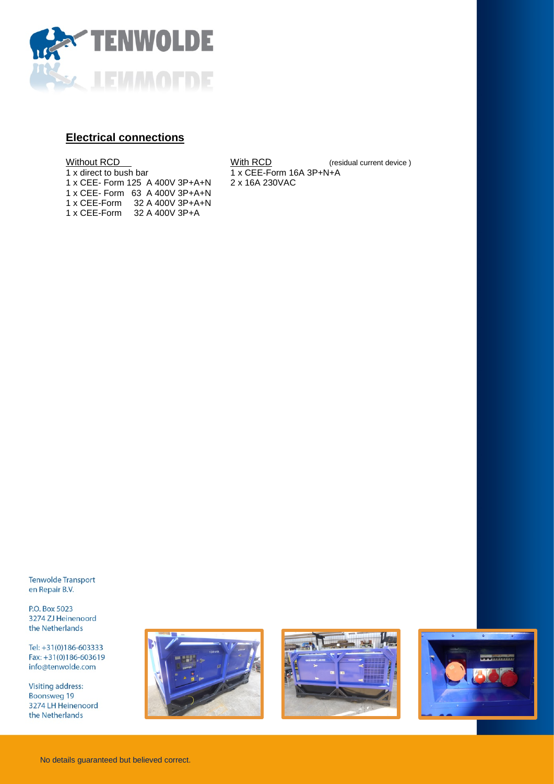

## **Electrical connections**

| Without RCD                     |  |  |  |                  |  |  |
|---------------------------------|--|--|--|------------------|--|--|
| 1 x direct to bush bar          |  |  |  |                  |  |  |
| 1 x CEE- Form 125 A 400V 3P+A+N |  |  |  |                  |  |  |
| 1 x CEE- Form 63 A 400V 3P+A+N  |  |  |  |                  |  |  |
| 1 x CEE-Form                    |  |  |  | 32 A 400V 3P+A+N |  |  |
| 1 x CEE-Form                    |  |  |  | 32 A 400V 3P+A   |  |  |

With RCD (residual current device)  $1 x$  CEE-Form 16A 3P+N+A 2 x 16A 230VAC

**Tenwolde Transport** en Repair B.V.

P.O. Box 5023 3274 ZJ Heinenoord the Netherlands

Tel: +31(0)186-603333 Fax:  $+31(0)186-603619$ info@tenwolde.com

**Visiting address: Boonsweg 19** 3274 LH Heinenoord the Netherlands